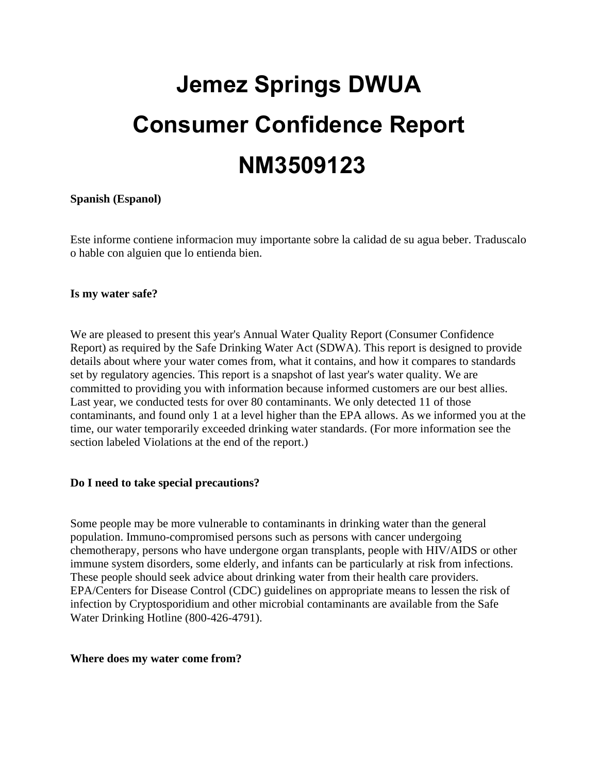# **Jemez Springs DWUA Consumer Confidence Report NM3509123**

# **Spanish (Espanol)**

Este informe contiene informacion muy importante sobre la calidad de su agua beber. Traduscalo o hable con alguien que lo entienda bien.

#### **Is my water safe?**

We are pleased to present this year's Annual Water Quality Report (Consumer Confidence Report) as required by the Safe Drinking Water Act (SDWA). This report is designed to provide details about where your water comes from, what it contains, and how it compares to standards set by regulatory agencies. This report is a snapshot of last year's water quality. We are committed to providing you with information because informed customers are our best allies. Last year, we conducted tests for over 80 contaminants. We only detected 11 of those contaminants, and found only 1 at a level higher than the EPA allows. As we informed you at the time, our water temporarily exceeded drinking water standards. (For more information see the section labeled Violations at the end of the report.)

#### **Do I need to take special precautions?**

Some people may be more vulnerable to contaminants in drinking water than the general population. Immuno-compromised persons such as persons with cancer undergoing chemotherapy, persons who have undergone organ transplants, people with HIV/AIDS or other immune system disorders, some elderly, and infants can be particularly at risk from infections. These people should seek advice about drinking water from their health care providers. EPA/Centers for Disease Control (CDC) guidelines on appropriate means to lessen the risk of infection by Cryptosporidium and other microbial contaminants are available from the Safe Water Drinking Hotline (800-426-4791).

#### **Where does my water come from?**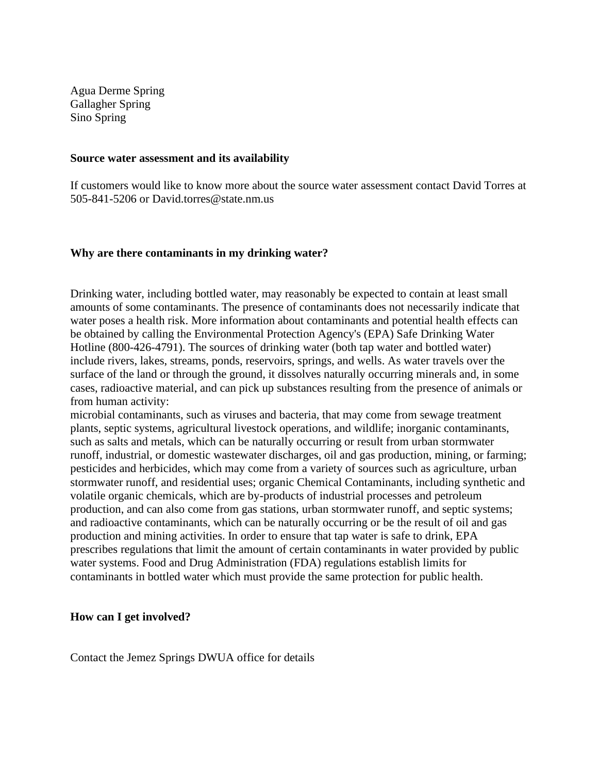Agua Derme Spring Gallagher Spring Sino Spring

#### **Source water assessment and its availability**

If customers would like to know more about the source water assessment contact David Torres at 505-841-5206 or David.torres@state.nm.us

#### **Why are there contaminants in my drinking water?**

Drinking water, including bottled water, may reasonably be expected to contain at least small amounts of some contaminants. The presence of contaminants does not necessarily indicate that water poses a health risk. More information about contaminants and potential health effects can be obtained by calling the Environmental Protection Agency's (EPA) Safe Drinking Water Hotline (800-426-4791). The sources of drinking water (both tap water and bottled water) include rivers, lakes, streams, ponds, reservoirs, springs, and wells. As water travels over the surface of the land or through the ground, it dissolves naturally occurring minerals and, in some cases, radioactive material, and can pick up substances resulting from the presence of animals or from human activity:

microbial contaminants, such as viruses and bacteria, that may come from sewage treatment plants, septic systems, agricultural livestock operations, and wildlife; inorganic contaminants, such as salts and metals, which can be naturally occurring or result from urban stormwater runoff, industrial, or domestic wastewater discharges, oil and gas production, mining, or farming; pesticides and herbicides, which may come from a variety of sources such as agriculture, urban stormwater runoff, and residential uses; organic Chemical Contaminants, including synthetic and volatile organic chemicals, which are by-products of industrial processes and petroleum production, and can also come from gas stations, urban stormwater runoff, and septic systems; and radioactive contaminants, which can be naturally occurring or be the result of oil and gas production and mining activities. In order to ensure that tap water is safe to drink, EPA prescribes regulations that limit the amount of certain contaminants in water provided by public water systems. Food and Drug Administration (FDA) regulations establish limits for contaminants in bottled water which must provide the same protection for public health.

#### **How can I get involved?**

Contact the Jemez Springs DWUA office for details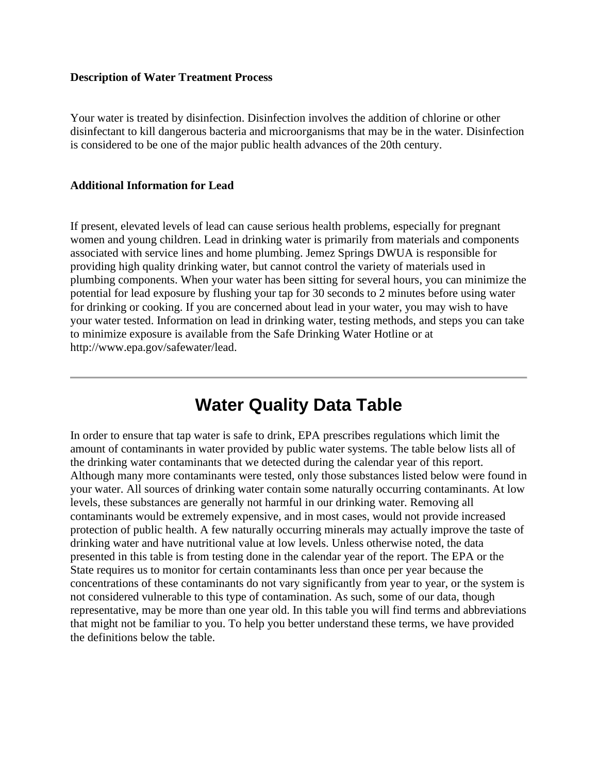# **Description of Water Treatment Process**

Your water is treated by disinfection. Disinfection involves the addition of chlorine or other disinfectant to kill dangerous bacteria and microorganisms that may be in the water. Disinfection is considered to be one of the major public health advances of the 20th century.

### **Additional Information for Lead**

If present, elevated levels of lead can cause serious health problems, especially for pregnant women and young children. Lead in drinking water is primarily from materials and components associated with service lines and home plumbing. Jemez Springs DWUA is responsible for providing high quality drinking water, but cannot control the variety of materials used in plumbing components. When your water has been sitting for several hours, you can minimize the potential for lead exposure by flushing your tap for 30 seconds to 2 minutes before using water for drinking or cooking. If you are concerned about lead in your water, you may wish to have your water tested. Information on lead in drinking water, testing methods, and steps you can take to minimize exposure is available from the Safe Drinking Water Hotline or at http://www.epa.gov/safewater/lead.

# **Water Quality Data Table**

In order to ensure that tap water is safe to drink, EPA prescribes regulations which limit the amount of contaminants in water provided by public water systems. The table below lists all of the drinking water contaminants that we detected during the calendar year of this report. Although many more contaminants were tested, only those substances listed below were found in your water. All sources of drinking water contain some naturally occurring contaminants. At low levels, these substances are generally not harmful in our drinking water. Removing all contaminants would be extremely expensive, and in most cases, would not provide increased protection of public health. A few naturally occurring minerals may actually improve the taste of drinking water and have nutritional value at low levels. Unless otherwise noted, the data presented in this table is from testing done in the calendar year of the report. The EPA or the State requires us to monitor for certain contaminants less than once per year because the concentrations of these contaminants do not vary significantly from year to year, or the system is not considered vulnerable to this type of contamination. As such, some of our data, though representative, may be more than one year old. In this table you will find terms and abbreviations that might not be familiar to you. To help you better understand these terms, we have provided the definitions below the table.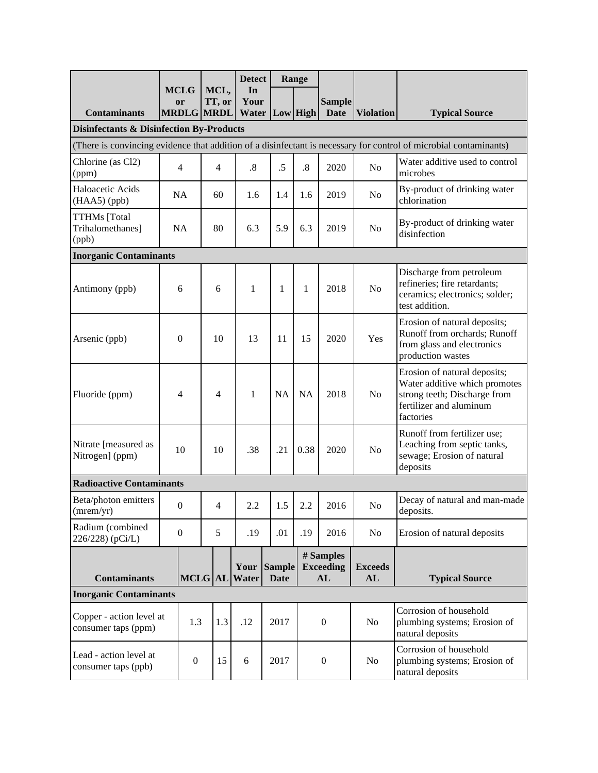|                                                                                                                   |                               |              |                   | <b>Detect</b> |                       | Range            |                                     |                      |                                                                                                                                       |  |
|-------------------------------------------------------------------------------------------------------------------|-------------------------------|--------------|-------------------|---------------|-----------------------|------------------|-------------------------------------|----------------------|---------------------------------------------------------------------------------------------------------------------------------------|--|
|                                                                                                                   | <b>MCLG</b><br><b>or</b>      |              | MCL,<br>TT, or    | In<br>Your    |                       |                  | <b>Sample</b>                       |                      |                                                                                                                                       |  |
| <b>Contaminants</b>                                                                                               |                               |              | <b>MRDLG MRDL</b> | Water         | Low High              |                  | <b>Date</b>                         | <b>Violation</b>     | <b>Typical Source</b>                                                                                                                 |  |
| <b>Disinfectants &amp; Disinfection By-Products</b>                                                               |                               |              |                   |               |                       |                  |                                     |                      |                                                                                                                                       |  |
| (There is convincing evidence that addition of a disinfectant is necessary for control of microbial contaminants) |                               |              |                   |               |                       |                  |                                     |                      |                                                                                                                                       |  |
| Chlorine (as Cl2)<br>(ppm)                                                                                        | $\overline{4}$                |              | $\overline{4}$    | .8            | .5                    | $\cdot$ 8        | 2020                                | No                   | Water additive used to control<br>microbes                                                                                            |  |
| Haloacetic Acids<br>(HAA5) (ppb)                                                                                  | NA                            |              | 60                | 1.6           | 1.4                   | 1.6              | 2019                                | No                   | By-product of drinking water<br>chlorination                                                                                          |  |
| <b>TTHMs</b> [Total<br>Trihalomethanes]<br>(ppb)                                                                  | <b>NA</b>                     |              | 80                | 6.3           | 5.9                   | 6.3              | 2019                                | No                   | By-product of drinking water<br>disinfection                                                                                          |  |
|                                                                                                                   | <b>Inorganic Contaminants</b> |              |                   |               |                       |                  |                                     |                      |                                                                                                                                       |  |
| Antimony (ppb)                                                                                                    | 6                             |              | 6                 | $\mathbf{1}$  | $\mathbf{1}$          | 1                | 2018                                | N <sub>o</sub>       | Discharge from petroleum<br>refineries; fire retardants;<br>ceramics; electronics; solder;<br>test addition.                          |  |
| Arsenic (ppb)                                                                                                     | $\mathbf{0}$                  |              | 10                | 13            | 11                    | 15               | 2020                                | Yes                  | Erosion of natural deposits;<br>Runoff from orchards; Runoff<br>from glass and electronics<br>production wastes                       |  |
| Fluoride (ppm)                                                                                                    | 4                             |              | 4                 | $\mathbf{1}$  | <b>NA</b>             | <b>NA</b>        | 2018                                | N <sub>o</sub>       | Erosion of natural deposits;<br>Water additive which promotes<br>strong teeth; Discharge from<br>fertilizer and aluminum<br>factories |  |
| Nitrate [measured as<br>Nitrogen] (ppm)                                                                           | 10                            |              | 10                | .38           | .21                   | 0.38             | 2020                                | N <sub>o</sub>       | Runoff from fertilizer use;<br>Leaching from septic tanks,<br>sewage; Erosion of natural<br>deposits                                  |  |
| <b>Radioactive Contaminants</b>                                                                                   |                               |              |                   |               |                       |                  |                                     |                      |                                                                                                                                       |  |
| Beta/photon emitters<br>(mrem/yr)                                                                                 | $\boldsymbol{0}$              |              | Δ                 | $2.2\,$       | 1.5                   | $2.2\,$          | 2016                                | $\rm No$             | Decay of natural and man-made<br>deposits.                                                                                            |  |
| Radium (combined<br>226/228) (pCi/L)                                                                              | $\boldsymbol{0}$              |              | 5                 | .19           | .01                   | .19              | 2016                                | No                   | Erosion of natural deposits                                                                                                           |  |
| <b>Contaminants</b>                                                                                               |                               |              | <b>MCLG</b> AL    | Your<br>Water | <b>Sample</b><br>Date |                  | # Samples<br><b>Exceeding</b><br>AL | <b>Exceeds</b><br>AL | <b>Typical Source</b>                                                                                                                 |  |
| <b>Inorganic Contaminants</b>                                                                                     |                               |              |                   |               |                       |                  |                                     |                      |                                                                                                                                       |  |
| Copper - action level at<br>consumer taps (ppm)                                                                   |                               | 1.3          | 1.3               | .12           | 2017                  | $\boldsymbol{0}$ |                                     | No                   | Corrosion of household<br>plumbing systems; Erosion of<br>natural deposits                                                            |  |
| Lead - action level at<br>consumer taps (ppb)                                                                     |                               | $\mathbf{0}$ | 15                | 6             | 2017                  | $\boldsymbol{0}$ |                                     | No                   | Corrosion of household<br>plumbing systems; Erosion of<br>natural deposits                                                            |  |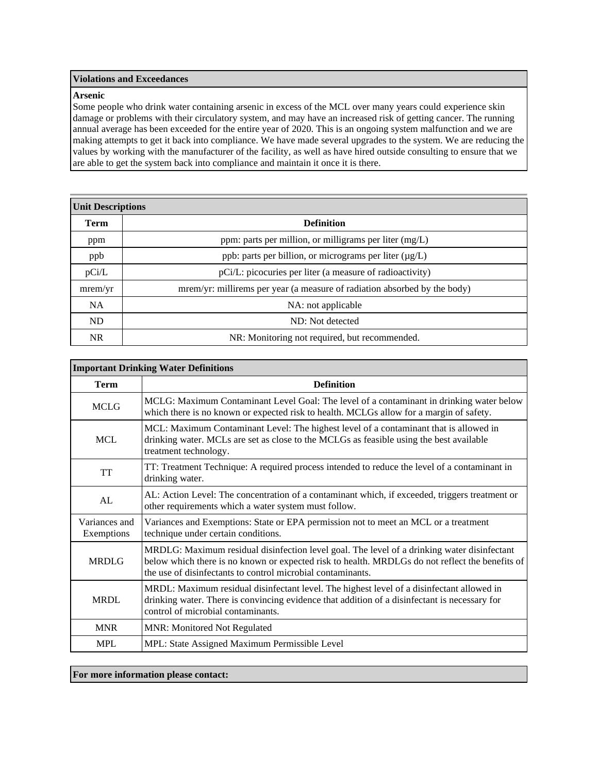#### **Violations and Exceedances**

#### **Arsenic**

Some people who drink water containing arsenic in excess of the MCL over many years could experience skin damage or problems with their circulatory system, and may have an increased risk of getting cancer. The running annual average has been exceeded for the entire year of 2020. This is an ongoing system malfunction and we are making attempts to get it back into compliance. We have made several upgrades to the system. We are reducing the values by working with the manufacturer of the facility, as well as have hired outside consulting to ensure that we are able to get the system back into compliance and maintain it once it is there.

| <b>Unit Descriptions</b> |                                                                           |  |  |  |  |  |
|--------------------------|---------------------------------------------------------------------------|--|--|--|--|--|
| Term                     | <b>Definition</b>                                                         |  |  |  |  |  |
| ppm                      | ppm: parts per million, or milligrams per liter $(mg/L)$                  |  |  |  |  |  |
| ppb                      | ppb: parts per billion, or micrograms per liter (µg/L)                    |  |  |  |  |  |
| pCi/L                    | pCi/L: picocuries per liter (a measure of radioactivity)                  |  |  |  |  |  |
| mrem/yr                  | mrem/yr: millirems per year (a measure of radiation absorbed by the body) |  |  |  |  |  |
| <b>NA</b>                | NA: not applicable                                                        |  |  |  |  |  |
| <b>ND</b>                | ND: Not detected                                                          |  |  |  |  |  |
| NR.                      | NR: Monitoring not required, but recommended.                             |  |  |  |  |  |

| <b>Important Drinking Water Definitions</b> |                                                                                                                                                                                                                                                               |  |  |  |  |
|---------------------------------------------|---------------------------------------------------------------------------------------------------------------------------------------------------------------------------------------------------------------------------------------------------------------|--|--|--|--|
| <b>Term</b>                                 | <b>Definition</b>                                                                                                                                                                                                                                             |  |  |  |  |
| <b>MCLG</b>                                 | MCLG: Maximum Contaminant Level Goal: The level of a contaminant in drinking water below<br>which there is no known or expected risk to health. MCLGs allow for a margin of safety.                                                                           |  |  |  |  |
| <b>MCL</b>                                  | MCL: Maximum Contaminant Level: The highest level of a contaminant that is allowed in<br>drinking water. MCLs are set as close to the MCLGs as feasible using the best available<br>treatment technology.                                                     |  |  |  |  |
| TT                                          | TT: Treatment Technique: A required process intended to reduce the level of a contaminant in<br>drinking water.                                                                                                                                               |  |  |  |  |
| AL                                          | AL: Action Level: The concentration of a contaminant which, if exceeded, triggers treatment or<br>other requirements which a water system must follow.                                                                                                        |  |  |  |  |
| Variances and<br>Exemptions                 | Variances and Exemptions: State or EPA permission not to meet an MCL or a treatment<br>technique under certain conditions.                                                                                                                                    |  |  |  |  |
| <b>MRDLG</b>                                | MRDLG: Maximum residual disinfection level goal. The level of a drinking water disinfectant<br>below which there is no known or expected risk to health. MRDLGs do not reflect the benefits of<br>the use of disinfectants to control microbial contaminants. |  |  |  |  |
| MRDL                                        | MRDL: Maximum residual disinfectant level. The highest level of a disinfectant allowed in<br>drinking water. There is convincing evidence that addition of a disinfectant is necessary for<br>control of microbial contaminants.                              |  |  |  |  |
| <b>MNR</b>                                  | <b>MNR: Monitored Not Regulated</b>                                                                                                                                                                                                                           |  |  |  |  |
| <b>MPL</b>                                  | MPL: State Assigned Maximum Permissible Level                                                                                                                                                                                                                 |  |  |  |  |

**For more information please contact:**